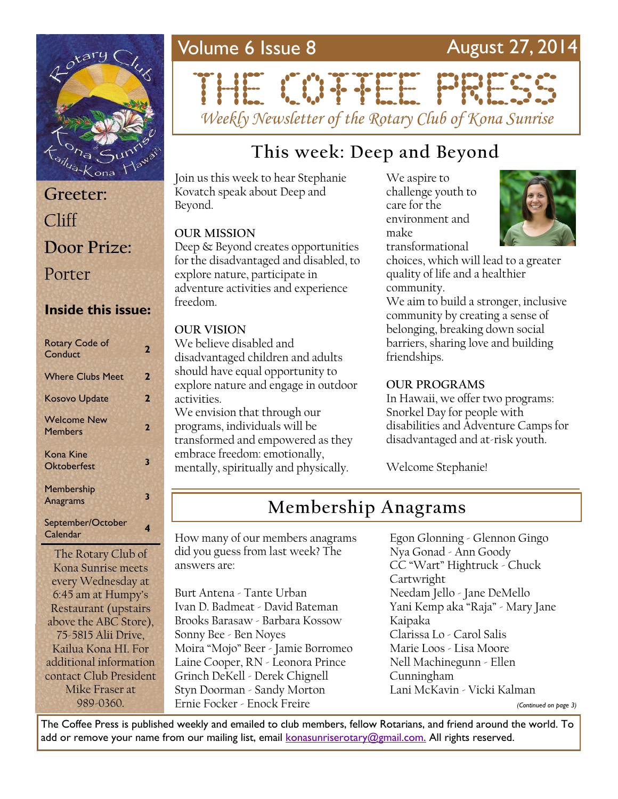

# **Greeter:** Cliff **Door Prize:** Porter

### **Inside this issue:**

| <b>Rotary Code of</b><br>Conduct     | 2 |
|--------------------------------------|---|
| <b>Where Clubs Meet</b>              | 2 |
| <b>Kosovo Update</b>                 | 2 |
| <b>Welcome New</b><br><b>Members</b> | 2 |
| Kona Kine<br><b>Oktoberfest</b>      | 3 |
| <b>Membership</b><br><b>Anagrams</b> | 3 |
| September/October<br>Calendar        | 4 |
|                                      |   |

The Rotary Club of Kona Sunrise meets every Wednesday at 6:45 am at Humpy's Restaurant (upstairs above the ABC Store), 75-5815 Alii Drive, Kailua Kona HI. For additional information contact Club President Mike Fraser at 989-0360.

# Volume 6 Issue 8 August 27, 2014 THE CONFIDENTIAL

*Weekly Newsletter of the Rotary Club of Kona Sunrise*

# **This week: Deep and Beyond**

Join us this week to hear Stephanie Kovatch speak about Deep and Beyond.

#### **OUR MISSION**

Deep & Beyond creates opportunities for the disadvantaged and disabled, to explore nature, participate in adventure activities and experience freedom.

#### **OUR VISION**

We believe disabled and disadvantaged children and adults should have equal opportunity to explore nature and engage in outdoor activities.

We envision that through our programs, individuals will be transformed and empowered as they embrace freedom: emotionally, mentally, spiritually and physically.

We aspire to challenge youth to care for the environment and make transformational



choices, which will lead to a greater quality of life and a healthier community.

We aim to build a stronger, inclusive community by creating a sense of belonging, breaking down social barriers, sharing love and building friendships.

#### **OUR PROGRAMS**

In Hawaii, we offer two programs: Snorkel Day for people with disabilities and Adventure Camps for disadvantaged and at-risk youth.

Welcome Stephanie!

# **Membership Anagrams**

How many of our members anagrams did you guess from last week? The answers are:

Burt Antena - Tante Urban Ivan D. Badmeat - David Bateman Brooks Barasaw - Barbara Kossow Sonny Bee - Ben Noyes Moira "Mojo" Beer - Jamie Borromeo Laine Cooper, RN - Leonora Prince Grinch DeKell - Derek Chignell Styn Doorman - Sandy Morton Ernie Focker - Enock Freire

Egon Glonning - Glennon Gingo Nya Gonad - Ann Goody CC "Wart" Hightruck - Chuck Cartwright Needam Jello - Jane DeMello Yani Kemp aka "Raja" - Mary Jane Kaipaka Clarissa Lo - Carol Salis Marie Loos - Lisa Moore Nell Machinegunn - Ellen Cunningham Lani McKavin - Vicki Kalman

*(Continued on page 3)*

The Coffee Press is published weekly and emailed to club members, fellow Rotarians, and friend around the world. To add or remove your name from our mailing list, email [konasunriserotary@gmail.com.](mailto:konasunriserotary@gmail.com.) All rights reserved.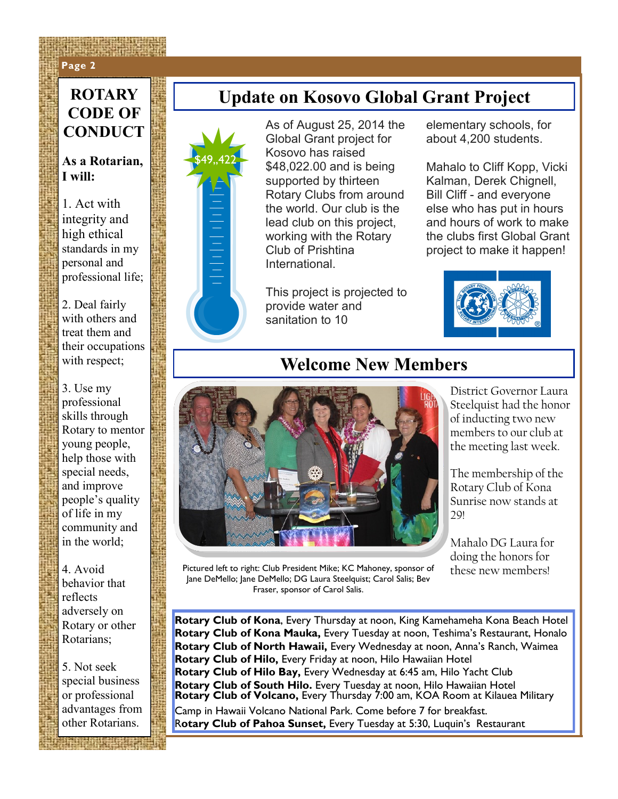### **Page 2 Page 2**

# **CODE OF CONDUCT**

#### **As a Rotarian, I will:**

\$49,,422

1. Act with integrity and high ethical standards in my personal and professional life;

2. Deal fairly with others and treat them and their occupations with respect;

3. Use my professional skills through Rotary to mentor young people, help those with special needs, and improve people's quality of life in my community and in the world;

4. Avoid behavior that reflects adversely on Rotary or other Rotarians;

5. Not seek special business or professional advantages from other Rotarians.

# **ROTARY Update on Kosovo Global Grant Project**

As of August 25, 2014 the Global Grant project for Kosovo has raised \$48,022.00 and is being supported by thirteen Rotary Clubs from around the world. Our club is the lead club on this project, working with the Rotary Club of Prishtina **International** 

This project is projected to provide water and sanitation to 10

elementary schools, for about 4,200 students.

Mahalo to Cliff Kopp, Vicki Kalman, Derek Chignell, Bill Cliff - and everyone else who has put in hours and hours of work to make the clubs first Global Grant project to make it happen!



## **Welcome New Members**



District Governor Laura Steelquist had the honor of inducting two new members to our club at the meeting last week.

The membership of the Rotary Club of Kona Sunrise now stands at  $29!$ 

Mahalo DG Laura for doing the honors for

Pictured left to right: Club President Mike; KC Mahoney, sponsor of these new members! Jane DeMello; Jane DeMello; DG Laura Steelquist; Carol Salis; Bev Fraser, sponsor of Carol Salis.

**Rotary Club of Kona**, Every Thursday at noon, King Kamehameha Kona Beach Hotel **Rotary Club of Kona Mauka,** Every Tuesday at noon, Teshima's Restaurant, Honalo **Rotary Club of North Hawaii,** Every Wednesday at noon, Anna's Ranch, Waimea **Rotary Club of Hilo,** Every Friday at noon, Hilo Hawaiian Hotel **Rotary Club of Hilo Bay,** Every Wednesday at 6:45 am, Hilo Yacht Club **Rotary Club of South Hilo.** Every Tuesday at noon, Hilo Hawaiian Hotel **Rotary Club of Volcano,** Every Thursday 7:00 am, KOA Room at Kilauea Military Camp in Hawaii Volcano National Park. Come before 7 for breakfast. R**otary Club of Pahoa Sunset,** Every Tuesday at 5:30, Luquin's Restaurant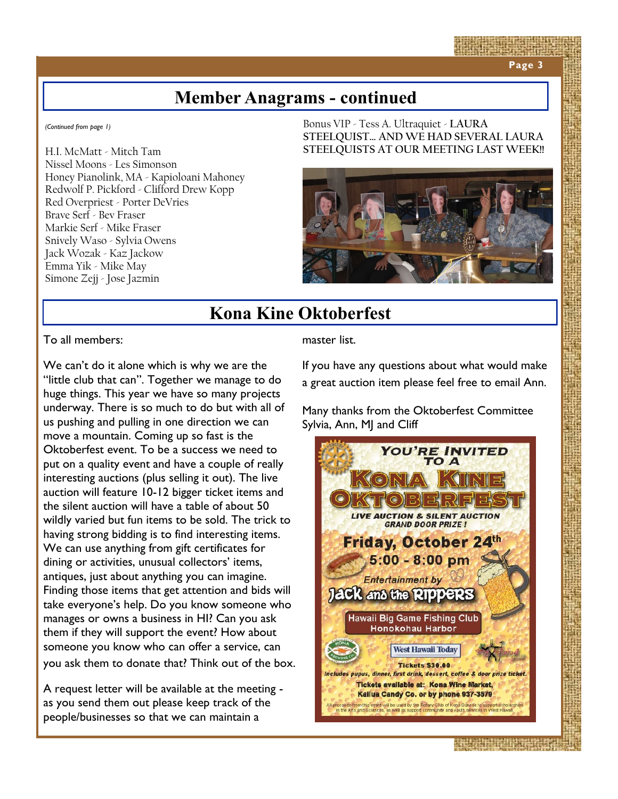**Page 3**

## **Member Anagrams - continued**

*(Continued from page 1)*

H.I. McMatt - Mitch Tam Nissel Moons - Les Simonson Honey Pianolink, MA - Kapioloani Mahoney Redwolf P. Pickford - Clifford Drew Kopp Red Overpriest - Porter DeVries Brave Serf - Bev Fraser Markie Serf - Mike Fraser Snively Waso - Sylvia Owens Jack Wozak - Kaz Jackow Emma Yik - Mike May Simone Zejj - Jose Jazmin

Bonus VIP - Tess A. Ultraquiet - **LAURA STEELQUIST… AND WE HAD SEVERAL LAURA STEELQUISTS AT OUR MEETING LAST WEEK!!**



# **Kona Kine Oktoberfest**

To all members:

We can't do it alone which is why we are the "little club that can". Together we manage to do huge things. This year we have so many projects underway. There is so much to do but with all of us pushing and pulling in one direction we can move a mountain. Coming up so fast is the Oktoberfest event. To be a success we need to put on a quality event and have a couple of really interesting auctions (plus selling it out). The live auction will feature 10-12 bigger ticket items and the silent auction will have a table of about 50 wildly varied but fun items to be sold. The trick to having strong bidding is to find interesting items. We can use anything from gift certificates for dining or activities, unusual collectors' items, antiques, just about anything you can imagine. Finding those items that get attention and bids will take everyone's help. Do you know someone who manages or owns a business in HI? Can you ask them if they will support the event? How about someone you know who can offer a service, can you ask them to donate that? Think out of the box.

A request letter will be available at the meeting as you send them out please keep track of the people/businesses so that we can maintain a

master list.

If you have any questions about what would make a great auction item please feel free to email Ann.

Many thanks from the Oktoberfest Committee Sylvia, Ann, MJ and Cliff